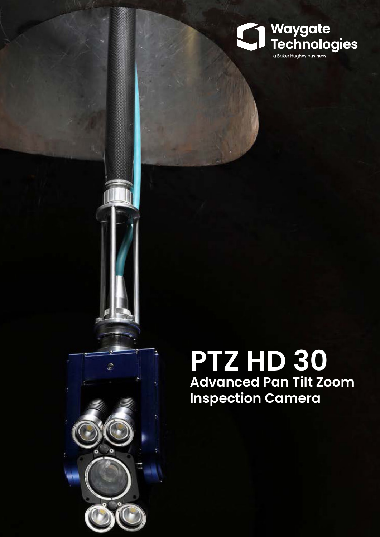

# **PTZ HD 30 Advanced Pan Tilt Zoom Inspection Camera**